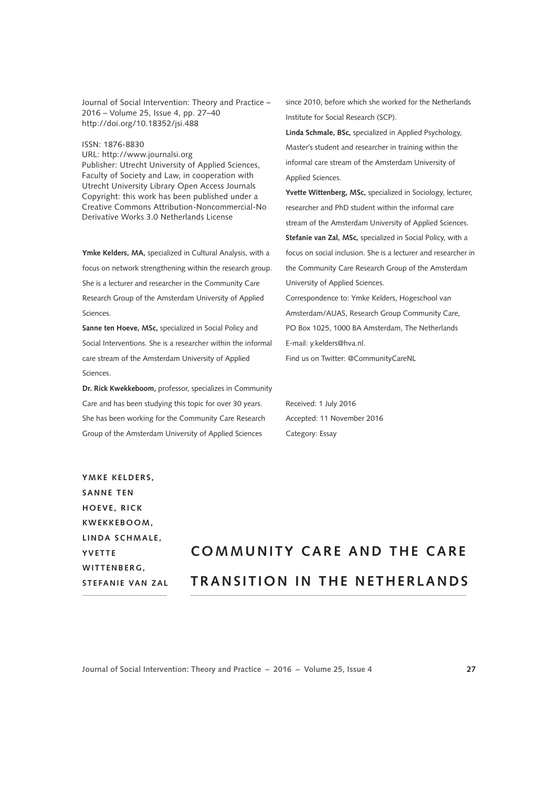Journal of Social Intervention: Theory and Practice – 2016 – Volume 25, Issue 4, pp. 27–40 <http://doi.org/10.18352/jsi.488>

ISSN: 1876-8830

URL:<http://www.journalsi.org> Publisher: Utrecht University of Applied Sciences, Faculty of Society and Law, in cooperation with Utrecht University Library Open Access Journals Copyright: this work has been published under a Creative Commons Attribution-Noncommercial-No Derivative Works 3.0 Netherlands License

**Ymke Kelders, MA,** specialized in Cultural Analysis, with a focus on network strengthening within the research group. She is a lecturer and researcher in the Community Care Research Group of the Amsterdam University of Applied Sciences.

**Sanne ten Hoeve, MSc,** specialized in Social Policy and Social Interventions. She is a researcher within the informal care stream of the Amsterdam University of Applied Sciences.

**Dr. Rick Kwekkeboom,** professor, specializes in Community Care and has been studying this topic for over 30 years. She has been working for the Community Care Research Group of the Amsterdam University of Applied Sciences

since 2010, before which she worked for the Netherlands Institute for Social Research (SCP).

**Linda Schmale, BSc,** specialized in Applied Psychology, Master's student and researcher in training within the informal care stream of the Amsterdam University of Applied Sciences.

**Yvette Wittenberg, MSc,** specialized in Sociology, lecturer, researcher and PhD student within the informal care stream of the Amsterdam University of Applied Sciences. **Stefanie van Zal, MSc,** specialized in Social Policy, with a focus on social inclusion. She is a lecturer and researcher in the Community Care Research Group of the Amsterdam University of Applied Sciences.

Correspondence to: Ymke Kelders, Hogeschool van Amsterdam/AUAS, Research Group Community Care, PO Box 1025, 1000 BA Amsterdam, The Netherlands E-mail: y.kelders@hva.nl.

Find us on Twitter: @CommunityCareNL

Received: 1 July 2016 Accepted: 11 November 2016 Category: Essay

YMKE KELDERS. **SANNE TEN H O E V E , R I C K K W E K K E B O O M ,**  LINDA SCHMALE, **Y V E T T E WITTENBERG. STEFANIE VAN ZAL**

# **COMMUNITY CARE AND THE CARE TRANSITION IN THE NETHERLANDS**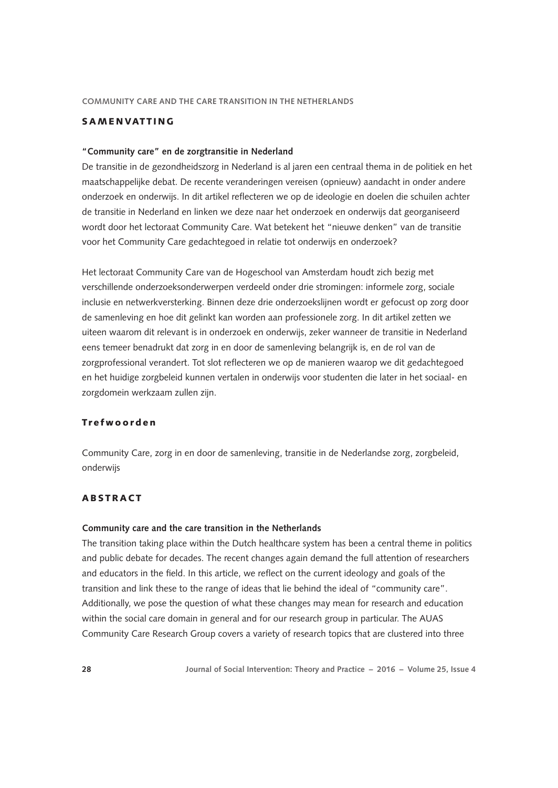# SAMENVATTING

#### **"Community care" en de zorgtransitie in Nederland**

De transitie in de gezondheidszorg in Nederland is al jaren een centraal thema in de politiek en het maatschappelijke debat. De recente veranderingen vereisen (opnieuw) aandacht in onder andere onderzoek en onderwijs. In dit artikel reflecteren we op de ideologie en doelen die schuilen achter de transitie in Nederland en linken we deze naar het onderzoek en onderwijs dat georganiseerd wordt door het lectoraat Community Care. Wat betekent het "nieuwe denken" van de transitie voor het Community Care gedachtegoed in relatie tot onderwijs en onderzoek?

Het lectoraat Community Care van de Hogeschool van Amsterdam houdt zich bezig met verschillende onderzoeksonderwerpen verdeeld onder drie stromingen: informele zorg, sociale inclusie en netwerkversterking. Binnen deze drie onderzoekslijnen wordt er gefocust op zorg door de samenleving en hoe dit gelinkt kan worden aan professionele zorg. In dit artikel zetten we uiteen waarom dit relevant is in onderzoek en onderwijs, zeker wanneer de transitie in Nederland eens temeer benadrukt dat zorg in en door de samenleving belangrijk is, en de rol van de zorgprofessional verandert. Tot slot reflecteren we op de manieren waarop we dit gedachtegoed en het huidige zorgbeleid kunnen vertalen in onderwijs voor studenten die later in het sociaal- en zorgdomein werkzaam zullen zijn.

## Trefwoorden

Community Care, zorg in en door de samenleving, transitie in de Nederlandse zorg, zorgbeleid, onderwijs

## ABSTRACT

#### **Community care and the care transition in the Netherlands**

The transition taking place within the Dutch healthcare system has been a central theme in politics and public debate for decades. The recent changes again demand the full attention of researchers and educators in the field. In this article, we reflect on the current ideology and goals of the transition and link these to the range of ideas that lie behind the ideal of "community care". Additionally, we pose the question of what these changes may mean for research and education within the social care domain in general and for our research group in particular. The AUAS Community Care Research Group covers a variety of research topics that are clustered into three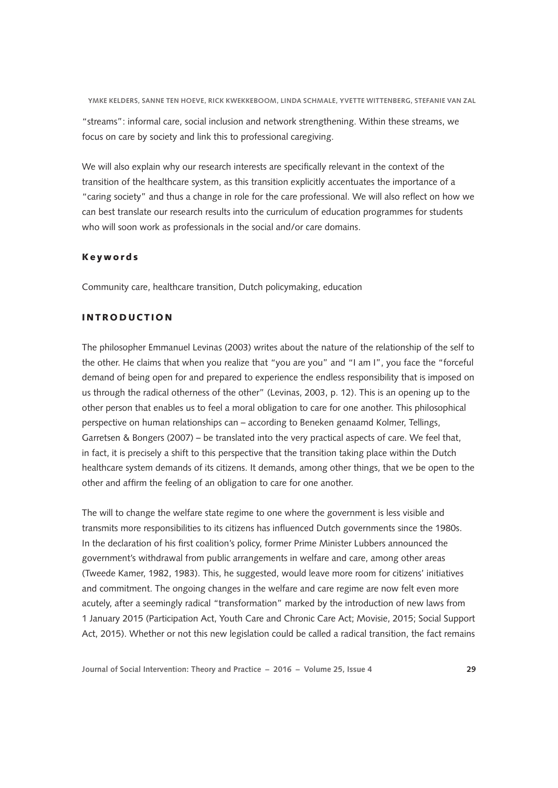"streams": informal care, social inclusion and network strengthening. Within these streams, we focus on care by society and link this to professional caregiving.

We will also explain why our research interests are specifically relevant in the context of the transition of the healthcare system, as this transition explicitly accentuates the importance of a "caring society" and thus a change in role for the care professional. We will also reflect on how we can best translate our research results into the curriculum of education programmes for students who will soon work as professionals in the social and/or care domains.

#### Keywords

Community care, healthcare transition, Dutch policymaking, education

# INTRODUCTION

The philosopher Emmanuel Levinas (2003) writes about the nature of the relationship of the self to the other. He claims that when you realize that "you are you" and "I am I", you face the "forceful demand of being open for and prepared to experience the endless responsibility that is imposed on us through the radical otherness of the other" (Levinas, 2003, p. 12). This is an opening up to the other person that enables us to feel a moral obligation to care for one another. This philosophical perspective on human relationships can – according to Beneken genaamd Kolmer, Tellings, Garretsen & Bongers (2007) – be translated into the very practical aspects of care. We feel that, in fact, it is precisely a shift to this perspective that the transition taking place within the Dutch healthcare system demands of its citizens. It demands, among other things, that we be open to the other and affirm the feeling of an obligation to care for one another.

The will to change the welfare state regime to one where the government is less visible and transmits more responsibilities to its citizens has influenced Dutch governments since the 1980s. In the declaration of his first coalition's policy, former Prime Minister Lubbers announced the government's withdrawal from public arrangements in welfare and care, among other areas (Tweede Kamer, 1982, 1983). This, he suggested, would leave more room for citizens' initiatives and commitment. The ongoing changes in the welfare and care regime are now felt even more acutely, after a seemingly radical "transformation" marked by the introduction of new laws from 1 January 2015 (Participation Act, Youth Care and Chronic Care Act; Movisie, 2015; Social Support Act, 2015). Whether or not this new legislation could be called a radical transition, the fact remains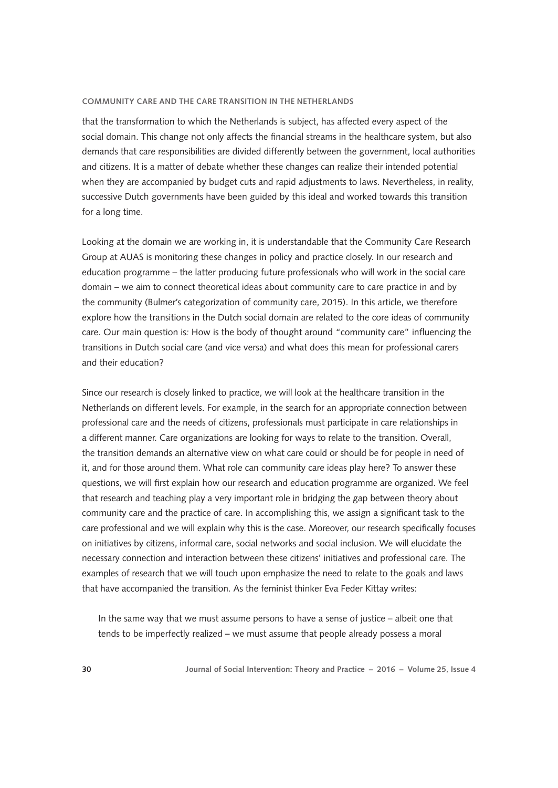that the transformation to which the Netherlands is subject, has affected every aspect of the social domain. This change not only affects the financial streams in the healthcare system, but also demands that care responsibilities are divided differently between the government, local authorities and citizens. It is a matter of debate whether these changes can realize their intended potential when they are accompanied by budget cuts and rapid adjustments to laws. Nevertheless, in reality, successive Dutch governments have been guided by this ideal and worked towards this transition for a long time.

Looking at the domain we are working in, it is understandable that the Community Care Research Group at AUAS is monitoring these changes in policy and practice closely. In our research and education programme – the latter producing future professionals who will work in the social care domain – we aim to connect theoretical ideas about community care to care practice in and by the community (Bulmer's categorization of community care, 2015). In this article, we therefore explore how the transitions in the Dutch social domain are related to the core ideas of community care. Our main question is*:* How is the body of thought around "community care" influencing the transitions in Dutch social care (and vice versa) and what does this mean for professional carers and their education?

Since our research is closely linked to practice, we will look at the healthcare transition in the Netherlands on different levels. For example, in the search for an appropriate connection between professional care and the needs of citizens, professionals must participate in care relationships in a different manner. Care organizations are looking for ways to relate to the transition. Overall, the transition demands an alternative view on what care could or should be for people in need of it, and for those around them. What role can community care ideas play here? To answer these questions, we will first explain how our research and education programme are organized. We feel that research and teaching play a very important role in bridging the gap between theory about community care and the practice of care. In accomplishing this, we assign a significant task to the care professional and we will explain why this is the case. Moreover, our research specifically focuses on initiatives by citizens, informal care, social networks and social inclusion. We will elucidate the necessary connection and interaction between these citizens' initiatives and professional care. The examples of research that we will touch upon emphasize the need to relate to the goals and laws that have accompanied the transition. As the feminist thinker Eva Feder Kittay writes:

In the same way that we must assume persons to have a sense of justice – albeit one that tends to be imperfectly realized – we must assume that people already possess a moral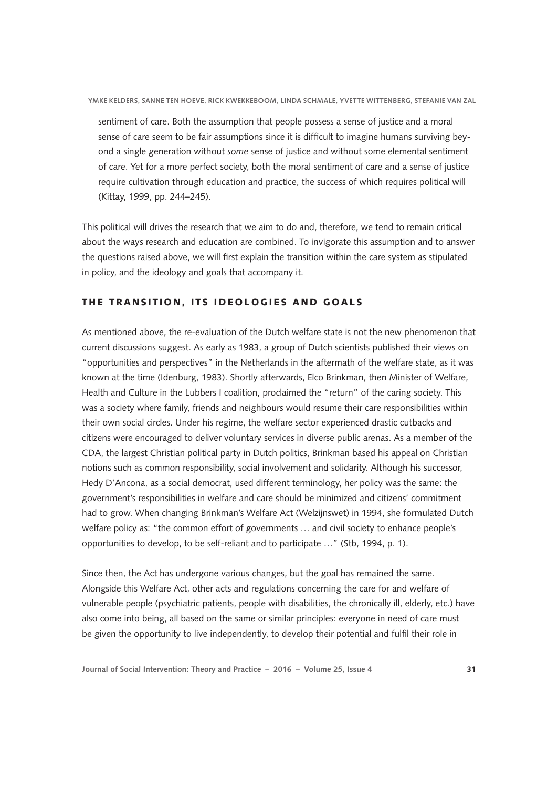sentiment of care. Both the assumption that people possess a sense of justice and a moral sense of care seem to be fair assumptions since it is difficult to imagine humans surviving beyond a single generation without *some* sense of justice and without some elemental sentiment of care. Yet for a more perfect society, both the moral sentiment of care and a sense of justice require cultivation through education and practice, the success of which requires political will (Kittay, 1999, pp. 244–245).

This political will drives the research that we aim to do and, therefore, we tend to remain critical about the ways research and education are combined. To invigorate this assumption and to answer the questions raised above, we will first explain the transition within the care system as stipulated in policy, and the ideology and goals that accompany it.

## THE TRANSITION, ITS IDEOLOGIES AND GOALS

As mentioned above, the re-evaluation of the Dutch welfare state is not the new phenomenon that current discussions suggest. As early as 1983, a group of Dutch scientists published their views on "opportunities and perspectives" in the Netherlands in the aftermath of the welfare state, as it was known at the time (Idenburg, 1983). Shortly afterwards, Elco Brinkman, then Minister of Welfare, Health and Culture in the Lubbers I coalition, proclaimed the "return" of the caring society. This was a society where family, friends and neighbours would resume their care responsibilities within their own social circles. Under his regime, the welfare sector experienced drastic cutbacks and citizens were encouraged to deliver voluntary services in diverse public arenas. As a member of the CDA, the largest Christian political party in Dutch politics, Brinkman based his appeal on Christian notions such as common responsibility, social involvement and solidarity. Although his successor, Hedy D'Ancona, as a social democrat, used different terminology, her policy was the same: the government's responsibilities in welfare and care should be minimized and citizens' commitment had to grow. When changing Brinkman's Welfare Act (Welzijnswet) in 1994, she formulated Dutch welfare policy as: "the common effort of governments … and civil society to enhance people's opportunities to develop, to be self-reliant and to participate …" (Stb, 1994, p. 1).

Since then, the Act has undergone various changes, but the goal has remained the same. Alongside this Welfare Act, other acts and regulations concerning the care for and welfare of vulnerable people (psychiatric patients, people with disabilities, the chronically ill, elderly, etc.) have also come into being, all based on the same or similar principles: everyone in need of care must be given the opportunity to live independently, to develop their potential and fulfil their role in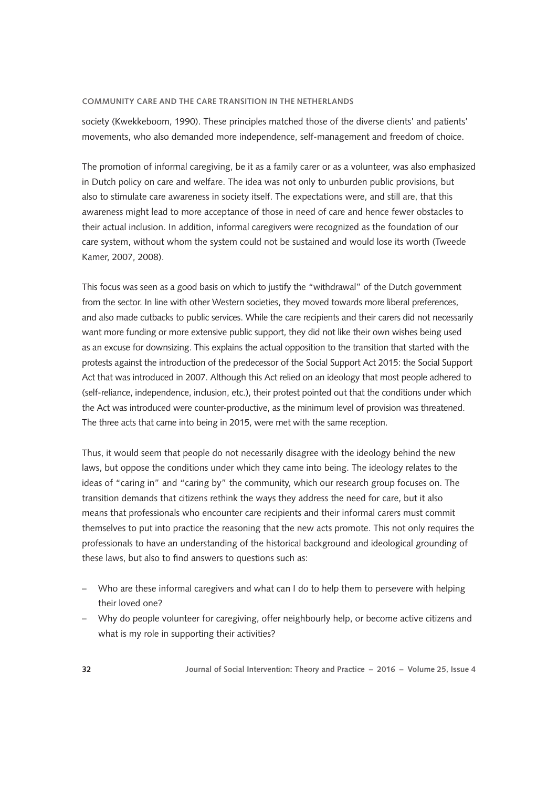society (Kwekkeboom, 1990). These principles matched those of the diverse clients' and patients' movements, who also demanded more independence, self-management and freedom of choice.

The promotion of informal caregiving, be it as a family carer or as a volunteer, was also emphasized in Dutch policy on care and welfare. The idea was not only to unburden public provisions, but also to stimulate care awareness in society itself. The expectations were, and still are, that this awareness might lead to more acceptance of those in need of care and hence fewer obstacles to their actual inclusion. In addition, informal caregivers were recognized as the foundation of our care system, without whom the system could not be sustained and would lose its worth (Tweede Kamer, 2007, 2008).

This focus was seen as a good basis on which to justify the "withdrawal" of the Dutch government from the sector. In line with other Western societies, they moved towards more liberal preferences, and also made cutbacks to public services. While the care recipients and their carers did not necessarily want more funding or more extensive public support, they did not like their own wishes being used as an excuse for downsizing. This explains the actual opposition to the transition that started with the protests against the introduction of the predecessor of the Social Support Act 2015: the Social Support Act that was introduced in 2007. Although this Act relied on an ideology that most people adhered to (self-reliance, independence, inclusion, etc.), their protest pointed out that the conditions under which the Act was introduced were counter-productive, as the minimum level of provision was threatened. The three acts that came into being in 2015, were met with the same reception.

Thus, it would seem that people do not necessarily disagree with the ideology behind the new laws, but oppose the conditions under which they came into being. The ideology relates to the ideas of "caring in" and "caring by" the community, which our research group focuses on. The transition demands that citizens rethink the ways they address the need for care, but it also means that professionals who encounter care recipients and their informal carers must commit themselves to put into practice the reasoning that the new acts promote. This not only requires the professionals to have an understanding of the historical background and ideological grounding of these laws, but also to find answers to questions such as:

- Who are these informal caregivers and what can I do to help them to persevere with helping their loved one?
- Why do people volunteer for caregiving, offer neighbourly help, or become active citizens and what is my role in supporting their activities?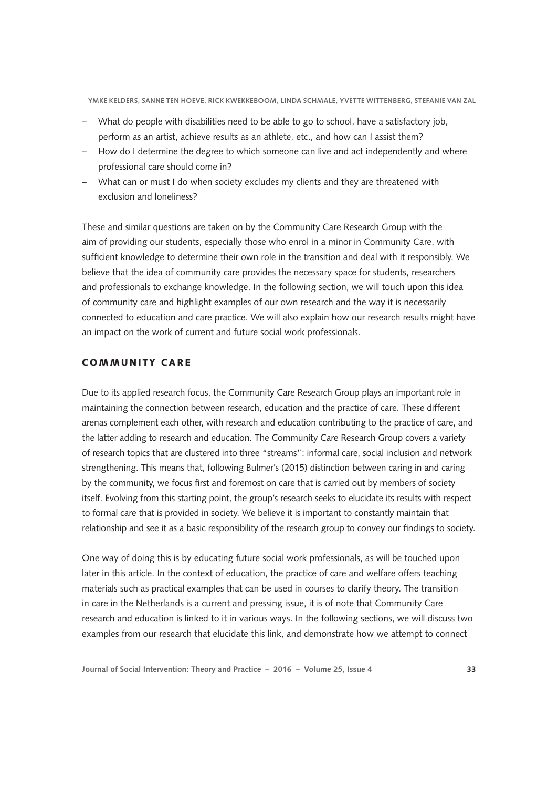- What do people with disabilities need to be able to go to school, have a satisfactory job, perform as an artist, achieve results as an athlete, etc., and how can I assist them?
- How do I determine the degree to which someone can live and act independently and where professional care should come in?
- What can or must I do when society excludes my clients and they are threatened with exclusion and loneliness?

These and similar questions are taken on by the Community Care Research Group with the aim of providing our students, especially those who enrol in a minor in Community Care, with sufficient knowledge to determine their own role in the transition and deal with it responsibly. We believe that the idea of community care provides the necessary space for students, researchers and professionals to exchange knowledge. In the following section, we will touch upon this idea of community care and highlight examples of our own research and the way it is necessarily connected to education and care practice. We will also explain how our research results might have an impact on the work of current and future social work professionals.

# COMMUNITY CARE

Due to its applied research focus, the Community Care Research Group plays an important role in maintaining the connection between research, education and the practice of care. These different arenas complement each other, with research and education contributing to the practice of care, and the latter adding to research and education. The Community Care Research Group covers a variety of research topics that are clustered into three "streams": informal care, social inclusion and network strengthening. This means that, following Bulmer's (2015) distinction between caring in and caring by the community, we focus first and foremost on care that is carried out by members of society itself. Evolving from this starting point, the group's research seeks to elucidate its results with respect to formal care that is provided in society. We believe it is important to constantly maintain that relationship and see it as a basic responsibility of the research group to convey our findings to society.

One way of doing this is by educating future social work professionals, as will be touched upon later in this article. In the context of education, the practice of care and welfare offers teaching materials such as practical examples that can be used in courses to clarify theory. The transition in care in the Netherlands is a current and pressing issue, it is of note that Community Care research and education is linked to it in various ways. In the following sections, we will discuss two examples from our research that elucidate this link, and demonstrate how we attempt to connect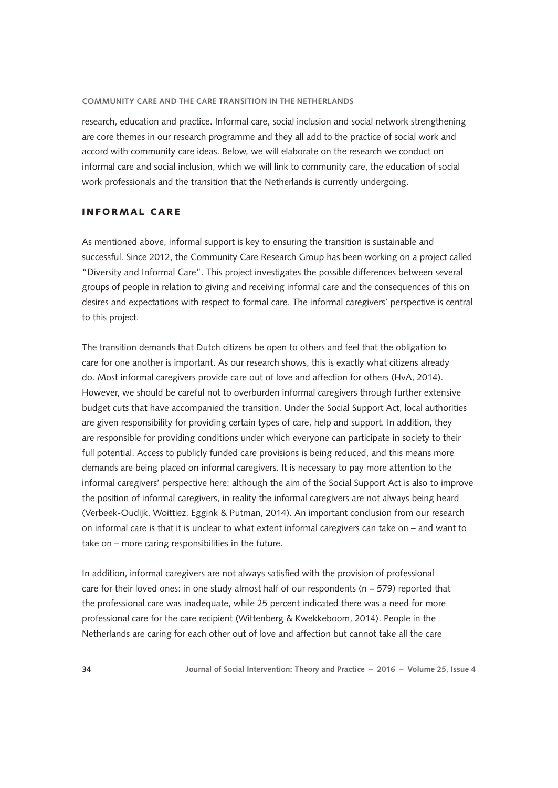research, education and practice. Informal care, social inclusion and social network strengthening are core themes in our research programme and they all add to the practice of social work and accord with community care ideas. Below, we will elaborate on the research we conduct on informal care and social inclusion, which we will link to community care, the education of social work professionals and the transition that the Netherlands is currently undergoing.

# **INFORMAL CARE**

As mentioned above, informal support is key to ensuring the transition is sustainable and successful. Since 2012, the Community Care Research Group has been working on a project called "Diversity and Informal Care". This project investigates the possible differences between several groups of people in relation to giving and receiving informal care and the consequences of this on desires and expectations with respect to formal care. The informal caregivers' perspective is central to this project.

The transition demands that Dutch citizens be open to others and feel that the obligation to care for one another is important. As our research shows, this is exactly what citizens already do. Most informal caregivers provide care out of love and affection for others (HvA, 2014). However, we should be careful not to overburden informal caregivers through further extensive budget cuts that have accompanied the transition. Under the Social Support Act, local authorities are given responsibility for providing certain types of care, help and support. In addition, they are responsible for providing conditions under which everyone can participate in society to their full potential. Access to publicly funded care provisions is being reduced, and this means more demands are being placed on informal caregivers. It is necessary to pay more attention to the informal caregivers' perspective here: although the aim of the Social Support Act is also to improve the position of informal caregivers, in reality the informal caregivers are not always being heard (Verbeek-Oudijk, Woittiez, Eggink & Putman, 2014). An important conclusion from our research on informal care is that it is unclear to what extent informal caregivers can take on – and want to take on – more caring responsibilities in the future.

In addition, informal caregivers are not always satisfied with the provision of professional care for their loved ones: in one study almost half of our respondents ( $n = 579$ ) reported that the professional care was inadequate, while 25 percent indicated there was a need for more professional care for the care recipient (Wittenberg & Kwekkeboom, 2014). People in the Netherlands are caring for each other out of love and affection but cannot take all the care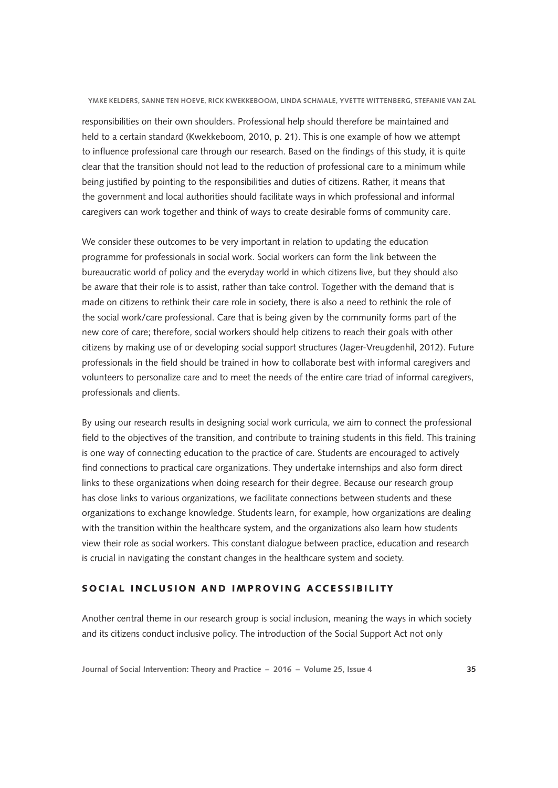responsibilities on their own shoulders. Professional help should therefore be maintained and held to a certain standard (Kwekkeboom, 2010, p. 21). This is one example of how we attempt to influence professional care through our research. Based on the findings of this study, it is quite clear that the transition should not lead to the reduction of professional care to a minimum while being justified by pointing to the responsibilities and duties of citizens. Rather, it means that the government and local authorities should facilitate ways in which professional and informal caregivers can work together and think of ways to create desirable forms of community care.

We consider these outcomes to be very important in relation to updating the education programme for professionals in social work. Social workers can form the link between the bureaucratic world of policy and the everyday world in which citizens live, but they should also be aware that their role is to assist, rather than take control. Together with the demand that is made on citizens to rethink their care role in society, there is also a need to rethink the role of the social work/care professional. Care that is being given by the community forms part of the new core of care; therefore, social workers should help citizens to reach their goals with other citizens by making use of or developing social support structures (Jager-Vreugdenhil, 2012). Future professionals in the field should be trained in how to collaborate best with informal caregivers and volunteers to personalize care and to meet the needs of the entire care triad of informal caregivers, professionals and clients.

By using our research results in designing social work curricula, we aim to connect the professional field to the objectives of the transition, and contribute to training students in this field. This training is one way of connecting education to the practice of care. Students are encouraged to actively find connections to practical care organizations. They undertake internships and also form direct links to these organizations when doing research for their degree. Because our research group has close links to various organizations, we facilitate connections between students and these organizations to exchange knowledge. Students learn, for example, how organizations are dealing with the transition within the healthcare system, and the organizations also learn how students view their role as social workers. This constant dialogue between practice, education and research is crucial in navigating the constant changes in the healthcare system and society.

# SOCIAL INCLUSION AND IMPROVING ACCESSIBILITY

Another central theme in our research group is social inclusion, meaning the ways in which society and its citizens conduct inclusive policy. The introduction of the Social Support Act not only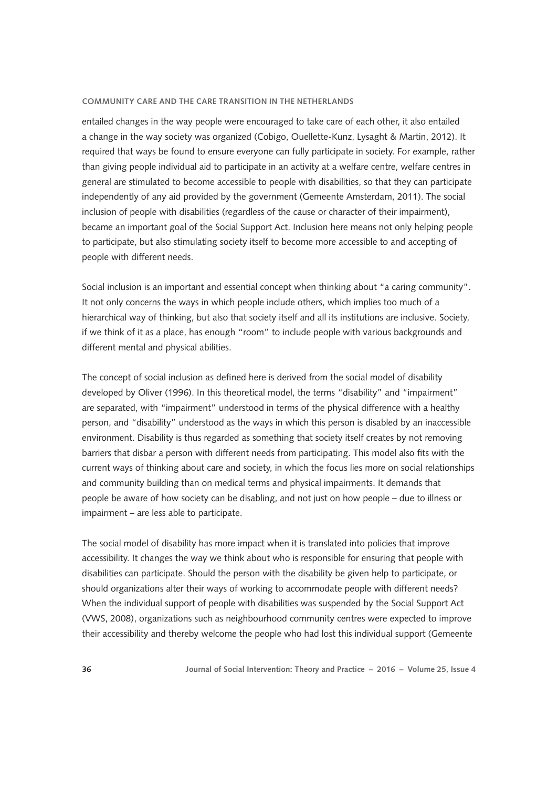entailed changes in the way people were encouraged to take care of each other, it also entailed a change in the way society was organized (Cobigo, Ouellette-Kunz, Lysaght & Martin, 2012). It required that ways be found to ensure everyone can fully participate in society. For example, rather than giving people individual aid to participate in an activity at a welfare centre, welfare centres in general are stimulated to become accessible to people with disabilities, so that they can participate independently of any aid provided by the government (Gemeente Amsterdam, 2011). The social inclusion of people with disabilities (regardless of the cause or character of their impairment), became an important goal of the Social Support Act. Inclusion here means not only helping people to participate, but also stimulating society itself to become more accessible to and accepting of people with different needs.

Social inclusion is an important and essential concept when thinking about "a caring community". It not only concerns the ways in which people include others, which implies too much of a hierarchical way of thinking, but also that society itself and all its institutions are inclusive. Society, if we think of it as a place, has enough "room" to include people with various backgrounds and different mental and physical abilities.

The concept of social inclusion as defined here is derived from the social model of disability developed by Oliver (1996). In this theoretical model, the terms "disability" and "impairment" are separated, with "impairment" understood in terms of the physical difference with a healthy person, and "disability" understood as the ways in which this person is disabled by an inaccessible environment. Disability is thus regarded as something that society itself creates by not removing barriers that disbar a person with different needs from participating. This model also fits with the current ways of thinking about care and society, in which the focus lies more on social relationships and community building than on medical terms and physical impairments. It demands that people be aware of how society can be disabling, and not just on how people – due to illness or impairment – are less able to participate.

The social model of disability has more impact when it is translated into policies that improve accessibility. It changes the way we think about who is responsible for ensuring that people with disabilities can participate. Should the person with the disability be given help to participate, or should organizations alter their ways of working to accommodate people with different needs? When the individual support of people with disabilities was suspended by the Social Support Act (VWS, 2008), organizations such as neighbourhood community centres were expected to improve their accessibility and thereby welcome the people who had lost this individual support (Gemeente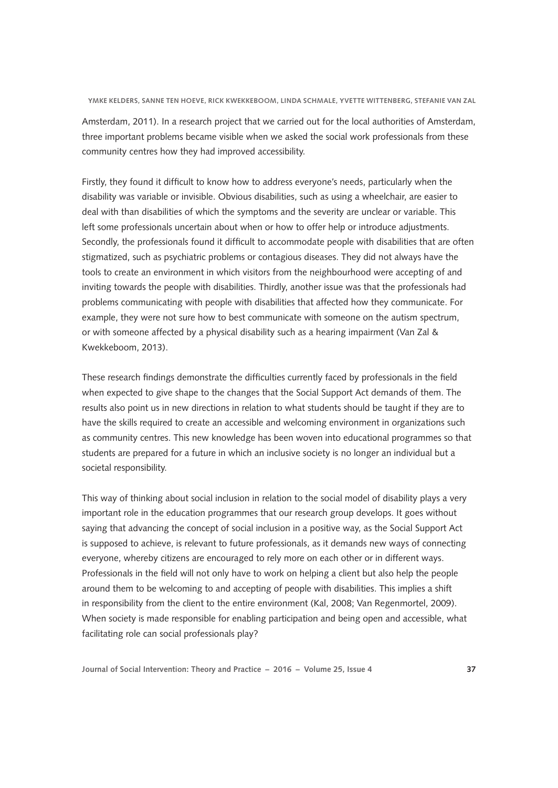Amsterdam, 2011). In a research project that we carried out for the local authorities of Amsterdam, three important problems became visible when we asked the social work professionals from these community centres how they had improved accessibility.

Firstly, they found it difficult to know how to address everyone's needs, particularly when the disability was variable or invisible. Obvious disabilities, such as using a wheelchair, are easier to deal with than disabilities of which the symptoms and the severity are unclear or variable. This left some professionals uncertain about when or how to offer help or introduce adjustments. Secondly, the professionals found it difficult to accommodate people with disabilities that are often stigmatized, such as psychiatric problems or contagious diseases. They did not always have the tools to create an environment in which visitors from the neighbourhood were accepting of and inviting towards the people with disabilities. Thirdly, another issue was that the professionals had problems communicating with people with disabilities that affected how they communicate. For example, they were not sure how to best communicate with someone on the autism spectrum, or with someone affected by a physical disability such as a hearing impairment (Van Zal & Kwekkeboom, 2013).

These research findings demonstrate the difficulties currently faced by professionals in the field when expected to give shape to the changes that the Social Support Act demands of them. The results also point us in new directions in relation to what students should be taught if they are to have the skills required to create an accessible and welcoming environment in organizations such as community centres. This new knowledge has been woven into educational programmes so that students are prepared for a future in which an inclusive society is no longer an individual but a societal responsibility.

This way of thinking about social inclusion in relation to the social model of disability plays a very important role in the education programmes that our research group develops. It goes without saying that advancing the concept of social inclusion in a positive way, as the Social Support Act is supposed to achieve, is relevant to future professionals, as it demands new ways of connecting everyone, whereby citizens are encouraged to rely more on each other or in different ways. Professionals in the field will not only have to work on helping a client but also help the people around them to be welcoming to and accepting of people with disabilities. This implies a shift in responsibility from the client to the entire environment (Kal, 2008; Van Regenmortel, 2009). When society is made responsible for enabling participation and being open and accessible, what facilitating role can social professionals play?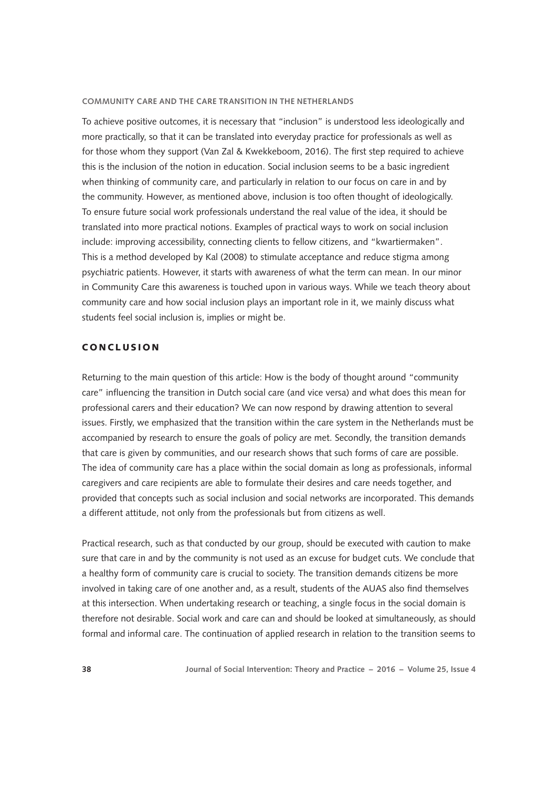To achieve positive outcomes, it is necessary that "inclusion" is understood less ideologically and more practically, so that it can be translated into everyday practice for professionals as well as for those whom they support (Van Zal & Kwekkeboom, 2016). The first step required to achieve this is the inclusion of the notion in education. Social inclusion seems to be a basic ingredient when thinking of community care, and particularly in relation to our focus on care in and by the community. However, as mentioned above, inclusion is too often thought of ideologically. To ensure future social work professionals understand the real value of the idea, it should be translated into more practical notions. Examples of practical ways to work on social inclusion include: improving accessibility, connecting clients to fellow citizens, and "kwartiermaken". This is a method developed by Kal (2008) to stimulate acceptance and reduce stigma among psychiatric patients. However, it starts with awareness of what the term can mean. In our minor in Community Care this awareness is touched upon in various ways. While we teach theory about community care and how social inclusion plays an important role in it, we mainly discuss what students feel social inclusion is, implies or might be.

# **CONCLUSION**

Returning to the main question of this article: How is the body of thought around "community care" influencing the transition in Dutch social care (and vice versa) and what does this mean for professional carers and their education? We can now respond by drawing attention to several issues. Firstly, we emphasized that the transition within the care system in the Netherlands must be accompanied by research to ensure the goals of policy are met. Secondly, the transition demands that care is given by communities, and our research shows that such forms of care are possible. The idea of community care has a place within the social domain as long as professionals, informal caregivers and care recipients are able to formulate their desires and care needs together, and provided that concepts such as social inclusion and social networks are incorporated. This demands a different attitude, not only from the professionals but from citizens as well.

Practical research, such as that conducted by our group, should be executed with caution to make sure that care in and by the community is not used as an excuse for budget cuts. We conclude that a healthy form of community care is crucial to society. The transition demands citizens be more involved in taking care of one another and, as a result, students of the AUAS also find themselves at this intersection. When undertaking research or teaching, a single focus in the social domain is therefore not desirable. Social work and care can and should be looked at simultaneously, as should formal and informal care. The continuation of applied research in relation to the transition seems to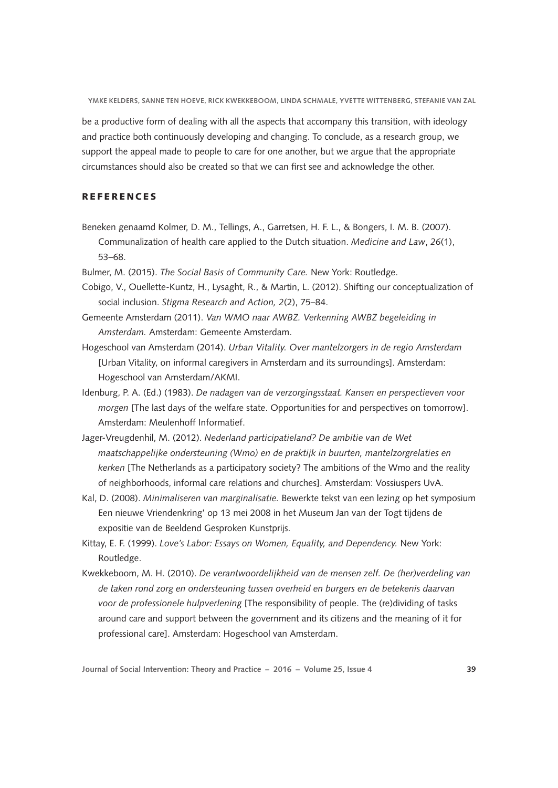be a productive form of dealing with all the aspects that accompany this transition, with ideology and practice both continuously developing and changing. To conclude, as a research group, we support the appeal made to people to care for one another, but we argue that the appropriate circumstances should also be created so that we can first see and acknowledge the other.

## **REFERENCES**

- Beneken genaamd Kolmer, D. M., Tellings, A., Garretsen, H. F. L., & Bongers, I. M. B. (2007). Communalization of health care applied to the Dutch situation. *Medicine and Law*, *26*(1), 53–68.
- Bulmer, M. (2015). *The Social Basis of Community Care.* New York: Routledge.
- Cobigo, V., Ouellette-Kuntz, H., Lysaght, R., & Martin, L. (2012). Shifting our conceptualization of social inclusion. *Stigma Research and Action, 2*(2), 75–84.
- Gemeente Amsterdam (2011). *Van WMO naar AWBZ. Verkenning AWBZ begeleiding in Amsterdam.* Amsterdam: Gemeente Amsterdam.
- Hogeschool van Amsterdam (2014). *Urban Vitality. Over mantelzorgers in de regio Amsterdam* [Urban Vitality, on informal caregivers in Amsterdam and its surroundings]. Amsterdam: Hogeschool van Amsterdam/AKMI.
- Idenburg, P. A. (Ed.) (1983). *De nadagen van de verzorgingsstaat. Kansen en perspectieven voor morgen* [The last days of the welfare state. Opportunities for and perspectives on tomorrow]. Amsterdam: Meulenhoff Informatief.
- Jager-Vreugdenhil, M. (2012). *Nederland participatieland? De ambitie van de Wet maatschappelijke ondersteuning (Wmo) en de praktijk in buurten, mantelzorgrelaties en kerken* [The Netherlands as a participatory society? The ambitions of the Wmo and the reality of neighborhoods, informal care relations and churches]. Amsterdam: Vossiuspers UvA.
- Kal, D. (2008). *Minimaliseren van marginalisatie.* Bewerkte tekst van een lezing op het symposium Een nieuwe Vriendenkring' op 13 mei 2008 in het Museum Jan van der Togt tijdens de expositie van de Beeldend Gesproken Kunstprijs.
- Kittay, E. F. (1999). *Love's Labor: Essays on Women, Equality, and Dependency.* New York: Routledge.
- Kwekkeboom, M. H. (2010). *De verantwoordelijkheid van de mensen zelf. De (her)verdeling van de taken rond zorg en ondersteuning tussen overheid en burgers en de betekenis daarvan voor de professionele hulpverlening* [The responsibility of people. The (re)dividing of tasks around care and support between the government and its citizens and the meaning of it for professional care]. Amsterdam: Hogeschool van Amsterdam.